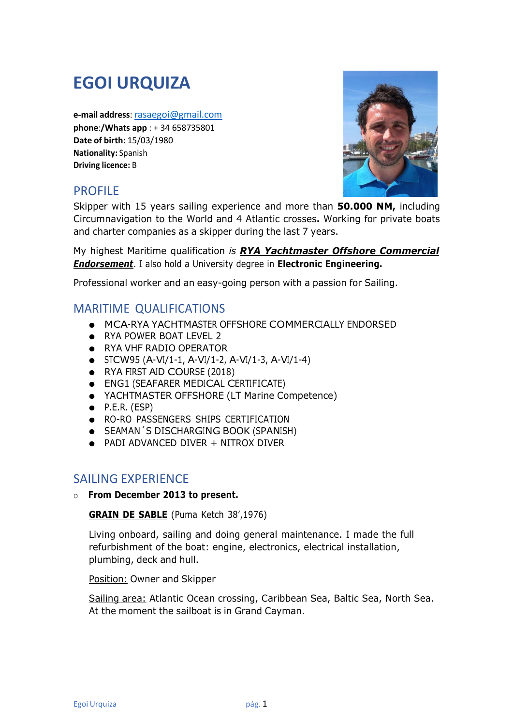# EGOI URQUIZA

e-mail address: rasaegoi@gmail.com phone:/Whats app : + 34 658735801 Date of birth: 15/03/1980 Nationality: Spanish Driving licence: B

# PROFILE



Skipper with 15 years sailing experience and more than **50.000 NM,** including Circumnavigation to the World and 4 Atlantic crosses. Working for private boats and charter companies as a skipper during the last 7 years.

My highest Maritime qualification is **RYA Yachtmaster Offshore Commercial Endorsement.** I also hold a University degree in **Electronic Engineering.** 

Professional worker and an easy-going person with a passion for Sailing.

## MARITIME QUALIFICATIONS

- MCA-RYA YACHTMASTER OFFSHORE COMMERCIALLY ENDORSED
- RYA POWER BOAT LEVEL 2
- RYA VHF RADIO OPERATOR
- $\bullet$  STCW95 (A-VI/1-1, A-VI/1-2, A-VI/1-3, A-VI/1-4)
- RYA FIRST AID COURSE (2018)
- ENG1 (SEAFARER MEDICAL CERTIFICATE)
- YACHTMASTER OFFSHORE (LT Marine Competence)
- $\bullet$  P.E.R. (ESP)
- RO-RO PASSENGERS SHIPS CERTIFICATION
- SEAMAN´S DISCHARGING BOOK (SPANISH)
- PADI ADVANCED DIVER + NITROX DIVER

## SAILING EXPERIENCE

o From December 2013 to present.

GRAIN DE SABLE (Puma Ketch 38',1976)

Living onboard, sailing and doing general maintenance. I made the full refurbishment of the boat: engine, electronics, electrical installation, plumbing, deck and hull.

Position: Owner and Skipper

Sailing area: Atlantic Ocean crossing, Caribbean Sea, Baltic Sea, North Sea. At the moment the sailboat is in Grand Cayman.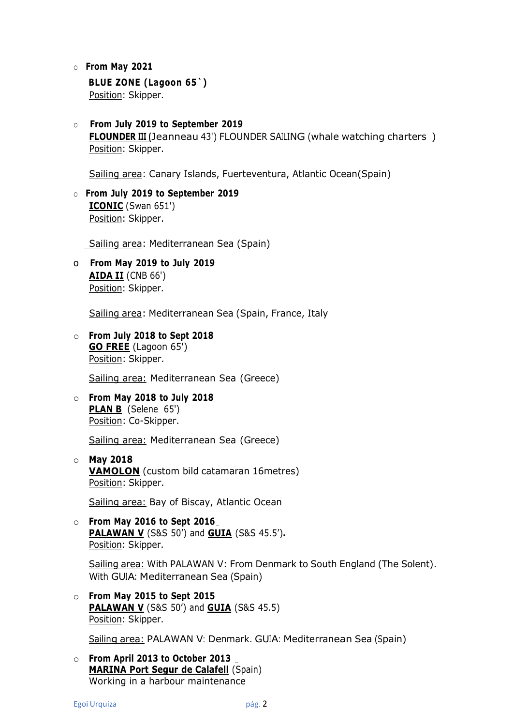#### o From May 2021

#### BLUE ZONE (Lagoon 65`) Position: Skipper.

o From July 2019 to September 2019 FLOUNDER III (Jeanneau 43') FLOUNDER SAILING (whale watching charters ) Position: Skipper.

Sailing area: Canary Islands, Fuerteventura, Atlantic Ocean(Spain)

o From July 2019 to September 2019 ICONIC (Swan 651') Position: Skipper.

Sailing area: Mediterranean Sea (Spain)

o From May 2019 to July 2019 AIDA II (CNB 66') Position: Skipper.

Sailing area: Mediterranean Sea (Spain, France, Italy

o From July 2018 to Sept 2018 GO FREE (Lagoon 65') Position: Skipper.

Sailing area: Mediterranean Sea (Greece)

o From May 2018 to July 2018 PLAN B (Selene 65') Position: Co-Skipper.

Sailing area: Mediterranean Sea (Greece)

o May 2018 VAMOLON (custom bild catamaran 16metres) Position: Skipper.

Sailing area: Bay of Biscay, Atlantic Ocean

 $\circ$  From May 2016 to Sept 2016 PALAWAN V (S&S 50') and GUIA (S&S 45.5'). Position: Skipper.

Sailing area: With PALAWAN V: From Denmark to South England (The Solent). With GUIA: Mediterranean Sea (Spain)

o From May 2015 to Sept 2015 PALAWAN V (S&S 50') and **GUIA** (S&S 45.5) Position: Skipper.

Sailing area: PALAWAN V: Denmark. GUIA: Mediterranean Sea (Spain)

o From April 2013 to October 2013 MARINA Port Segur de Calafell (Spain) Working in a harbour maintenance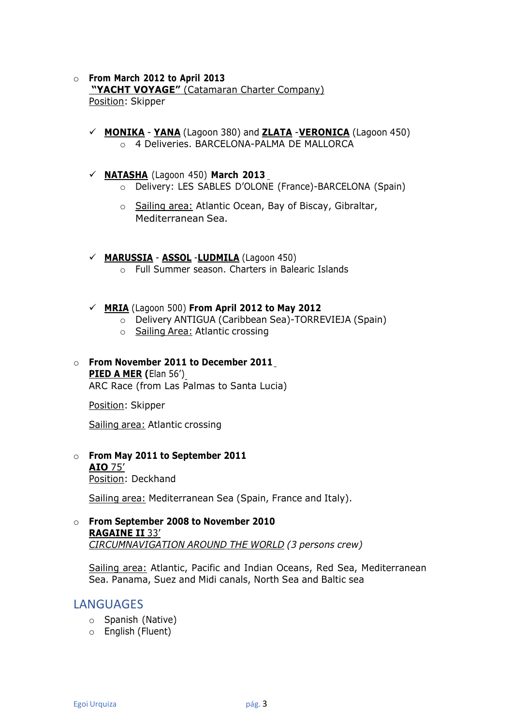#### o From March 2012 to April 2013 "YACHT VOYAGE" (Catamaran Charter Company) Position: Skipper

- $\checkmark$  MONIKA YANA (Lagoon 380) and **ZLATA -VERONICA** (Lagoon 450) o 4 Deliveries. BARCELONA-PALMA DE MALLORCA
- $\checkmark$  NATASHA (Lagoon 450) March 2013
	- o Delivery: LES SABLES D'OLONE (France)-BARCELONA (Spain)
	- o Sailing area: Atlantic Ocean, Bay of Biscay, Gibraltar, Mediterranean Sea.
- $\checkmark$  MARUSSIA ASSOL LUDMILA (Lagoon 450) o Full Summer season. Charters in Balearic Islands
- $\checkmark$  MRIA (Lagoon 500) From April 2012 to May 2012
	- o Delivery ANTIGUA (Caribbean Sea)-TORREVIEJA (Spain)
	- o Sailing Area: Atlantic crossing

#### o From November 2011 to December 2011 PIED A MER (Elan 56') ARC Race (from Las Palmas to Santa Lucia)

Position: Skipper

Sailing area: Atlantic crossing

o From May 2011 to September 2011 AIO 75' Position: Deckhand

Sailing area: Mediterranean Sea (Spain, France and Italy).

o From September 2008 to November 2010 RAGAINE II 33' CIRCUMNAVIGATION AROUND THE WORLD (3 persons crew)

Sailing area: Atlantic, Pacific and Indian Oceans, Red Sea, Mediterranean Sea. Panama, Suez and Midi canals, North Sea and Baltic sea

#### LANGUAGES

- o Spanish (Native)
- o English (Fluent)